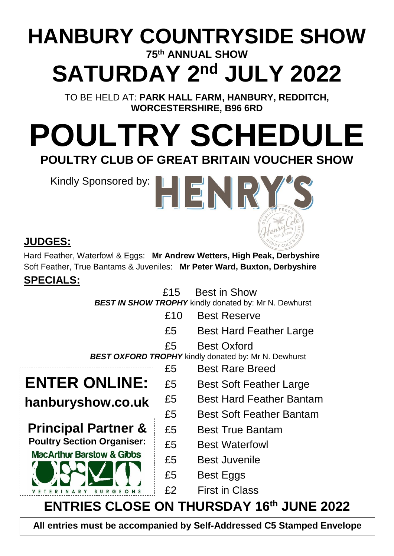## **HANBURY COUNTRYSIDE SHOW 75th ANNUAL SHOW**

# **SATURDAY 2 nd JULY 2022**

TO BE HELD AT: **PARK HALL FARM, HANBURY, REDDITCH, WORCESTERSHIRE, B96 6RD**

# **POULTRY SCHEDULE POULTRY CLUB OF GREAT BRITAIN VOUCHER SHOW**

Kindly Sponsored by:

**ENTER ONLINE:**

**hanburyshow.co.uk**

**Principal Partner &**



Hard Feather, Waterfowl & Eggs: **Mr Andrew Wetters, High Peak, Derbyshire** Soft Feather, True Bantams & Juveniles: **Mr Peter Ward, Buxton, Derbyshire** 

### **SPECIALS:**

£15 Best in Show

HENR

**BEST IN SHOW TROPHY** kindly donated by: Mr N. Dewhurst

- £10 Best Reserve
- £5 Best Hard Feather Large
- £5 Best Oxford

**BEST OXFORD TROPHY** kindly donated by: Mr N. Dewhurst

- £5 Best Rare Breed
- £5 Best Soft Feather Large
- £5 Best Hard Feather Bantam
- £5 Best Soft Feather Bantam
- £5 Best True Bantam
- **Poultry Section Organiser:** E5 Best Waterfowl
	- MacArthur Barstow & Gibbs<br>
	£5 Best Juvenile
		- £5 Best Eggs
		- £2 First in Class

# **ENTRIES CLOSE ON THURSDAY 16th JUNE 2022**

**All entries must be accompanied by Self-Addressed C5 Stamped Envelope**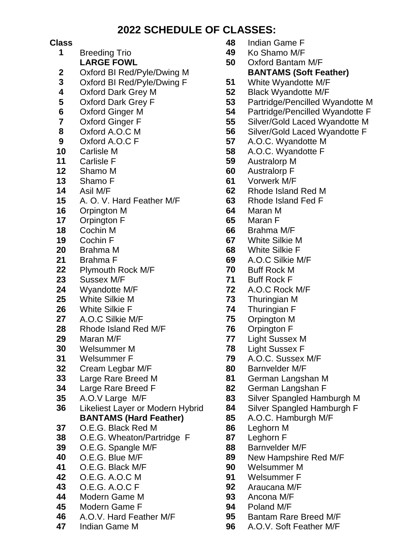#### **2022 SCHEDULE OF CLASSES:**

- 
- **2** Oxford BI Red/Pyle/Dwing M **BANTAMS (Soft Feather)**
- **3** Oxford BI Red/Pyle/Dwing F
- **4** Oxford Dark Grey M
- **5** Oxford Dark Grey F
- **6** Oxford Ginger M
- **7** Oxford Ginger F
- **8** Oxford A.O.C M
- **9** Oxford A.O.C F
- **10** Carlisle M
- **11** Carlisle F
- **12** Shamo M
- **13** Shamo F
- **14** Asil M/F
- **15** A. O. V. Hard Feather M/F
- **16** Orpington M **64** Maran M
- **17** Orpington F
- **18** Cochin M
- **19** Cochin F
- **20** Brahma M
- **21** Brahma F
- **22** Plymouth Rock M/F **70** Buff Rock M
- **23** Sussex M/F
- **24** Wyandotte M/F
- **25** White Silkie M **73** Thuringian M
- **26** White Silkie F **74** Thuringian F
- **27** A.O.C Silkie M/F **75** Orpington M
- **28** Rhode Island Red M/F
- **29** Maran M/F
- **30** Welsummer M
- 
- **32** Cream Legbar M/F
- **33** Large Rare Breed M
- **34** Large Rare Breed F
- **35** A.O.V Large M/F
- **36** Likeliest Layer or Modern Hybrid **BANTAMS (Hard Feather) 85** A.O.C. Hamburgh M/F
- **37** O.E.G. Black Red M
- **38** O.E.G. Wheaton/Partridge F
- **39** O.E.G. Spangle M/F
- 
- **41** O.E.G. Black M/F **90** Welsummer M
- **42** O.E.G. A.O.C M **91** Welsummer F
- **43** O.E.G. A.O.C F **92** Araucana M/F
- **44** Modern Game M **93** Ancona M/F
- **45** Modern Game F **94** Poland M/F
- **46** A.O.V. Hard Feather M/F **95** Bantam Rare Breed M/F
- 
- **Class 48** Indian Game F
	- **1** Breeding Trio **49** Ko Shamo M/F
		- **LARGE FOWL 50** Oxford Bantam M/F
			- **51** White Wyandotte M/F
			- **52** Black Wyandotte M/F
			- **53** Partridge/Pencilled Wyandotte M
			- **54** Partridge/Pencilled Wyandotte F
			- **55** Silver/Gold Laced Wyandotte M
			- **56** Silver/Gold Laced Wyandotte F
			- **57** A.O.C. Wyandotte M
			- **58** A.O.C. Wyandotte F
			- **59** Australorp M
			- **60** Australorp F
			- **61** Vorwerk M/F
			- **62** Rhode Island Red M
			- **63** Rhode Island Fed F
			-
			- **65** Maran F
			- **66** Brahma M/F
			- **67** White Silkie M
			- **68** White Silkie F
			- **69** A.O.C Silkie M/F
			-
			- **71** Buff Rock F
			- **72** A.O.C Rock M/F
			-
			-
			-
			- **76** Orpington F
			- **77** Light Sussex M
			- **78** Light Sussex F
	- **31** Welsummer F **79** A.O.C. Sussex M/F
		- **80** Barnvelder M/F
		- **81** German Langshan M
		- **82** German Langshan F
		- **83** Silver Spangled Hamburgh M
		- **84** Silver Spangled Hamburgh F
		-
		- **86** Leghorn M
		- **87** Leghorn F
		- **88** Barnvelder M/F
	- **40** O.E.G. Blue M/F **89** New Hampshire Red M/F
		-
		-
		-
		-
		-
		-
	- **47** Indian Game M **96** A.O.V. Soft Feather M/F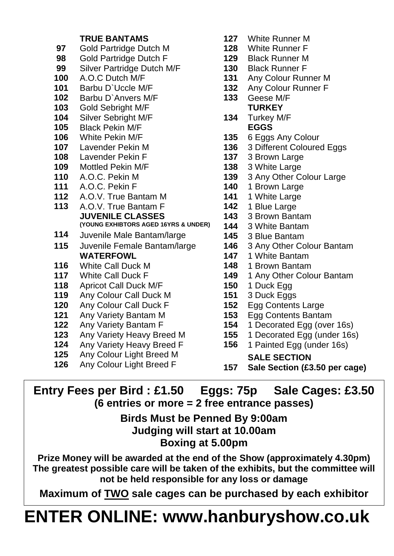#### **TRUE BANTAMS**

- **97** Gold Partridge Dutch M
- **98** Gold Partridge Dutch F
- **99** Silver Partridge Dutch M/F
- **100** A.O.C Dutch M/F
- **101** Barbu D`Uccle M/F
- **102** Barbu D`Anvers M/F
- **103** Gold Sebright M/F
- **104** Silver Sebright M/F
- **105** Black Pekin M/F
- **106** White Pekin M/F
- 
- **108** Lavender Pekin F **137** 3 Brown Large
- **109** Mottled Pekin M/F
- **110** A.O.C. Pekin M
- **111** A.O.C. Pekin F **140** 1 Brown Large
- **112** A.O.V. True Bantam M **141** 1 White Large
- **113** A.O.V. True Bantam F **142** 1 Blue Large **JUVENILE CLASSES (YOUNG EXHIBTORS AGED 16YRS & UNDER)**
- **114** Juvenile Male Bantam/large
- **115** Juvenile Female Bantam/large **146** 3 Any Other Colour Bantam **WATERFOWL 147** 1 White Bantam
- **116** White Call Duck M **148** 1 Brown Bantam
- 
- **118** Apricot Call Duck M/F **150** 1 Duck Egg
- **119** Any Colour Call Duck M
- **120** Any Colour Call Duck F
- **121** Any Variety Bantam M
- **122** Any Variety Bantam F
- **123** Any Variety Heavy Breed M
- **124** Any Variety Heavy Breed F
- **125** Any Colour Light Breed M
- **126** Any Colour Light Breed F
- **127** White Runner M
- **128** White Runner F
- **129** Black Runner M
- **130** Black Runner F
- **131** Any Colour Runner M
- **132** Any Colour Runner F
- **133** Geese M/F **TURKEY**
- **134** Turkey M/F **EGGS**
- **135** 6 Eggs Any Colour
- **107** Lavender Pekin M **136** 3 Different Coloured Eggs
	-
	- **138** 3 White Large
	- **139** 3 Any Other Colour Large
	-
	-
	-
	- **143** 3 Brown Bantam
	- **144** 3 White Bantam
	- **145** 3 Blue Bantam
	-
	-
	-
- **117** White Call Duck F **149** 1 Any Other Colour Bantam
	-
	- **151** 3 Duck Eggs
	- **152** Egg Contents Large
	- **153** Egg Contents Bantam
	- **154** 1 Decorated Egg (over 16s)
	- **155** 1 Decorated Egg (under 16s)
	- **156** 1 Painted Egg (under 16s)
		- **SALE SECTION**
	- **157 Sale Section (£3.50 per cage)**

#### **Entry Fees per Bird : £1.50 Eggs: 75p Sale Cages: £3.50 (6 entries or more = 2 free entrance passes)**

#### **Birds Must be Penned By 9:00am Judging will start at 10.00am Boxing at 5.00pm**

**Prize Money will be awarded at the end of the Show (approximately 4.30pm) The greatest possible care will be taken of the exhibits, but the committee will not be held responsible for any loss or damage**

**Maximum of TWO sale cages can be purchased by each exhibitor**

# **ENTER ONLINE: [www.hanburyshow.co.uk](http://www.hanburyshow.co.uk/)**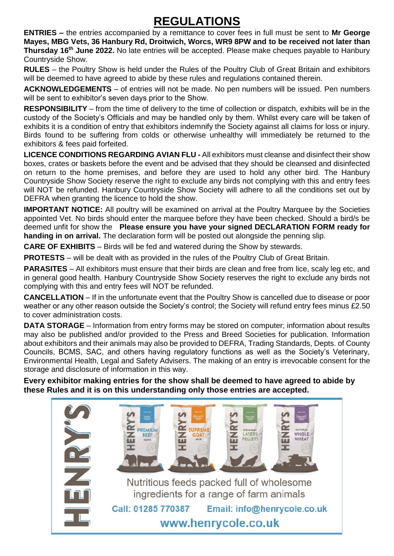### **REGULATIONS**

**ENTRIES –** the entries accompanied by a remittance to cover fees in full must be sent to **Mr George Mayes, MBG Vets, 36 Hanbury Rd, Droitwich, Worcs, WR9 8PW and to be received not later than Thursday 16<sup>th</sup> June 2022.** No late entries will be accepted. Please make cheques payable to Hanbury Countryside Show.

**RULES** – the Poultry Show is held under the Rules of the Poultry Club of Great Britain and exhibitors will be deemed to have agreed to abide by these rules and regulations contained therein.

**ACKNOWLEDGEMENTS** – of entries will not be made. No pen numbers will be issued. Pen numbers will be sent to exhibitor's seven days prior to the Show.

**RESPONSIBILITY** – from the time of delivery to the time of collection or dispatch, exhibits will be in the custody of the Society's Officials and may be handled only by them. Whilst every care will be taken of exhibits it is a condition of entry that exhibitors indemnify the Society against all claims for loss or injury. Birds found to be suffering from colds or otherwise unhealthy will immediately be returned to the exhibitors & fees paid forfeited.

**LICENCE CONDITIONS REGARDING AVIAN FLU -** All exhibitors must cleanse and disinfect their show boxes, crates or baskets before the event and be advised that they should be cleansed and disinfected on return to the home premises, and before they are used to hold any other bird. The Hanbury Countryside Show Society reserve the right to exclude any birds not complying with this and entry fees will NOT be refunded. Hanbury Countryside Show Society will adhere to all the conditions set out by DEFRA when granting the licence to hold the show.

**IMPORTANT NOTICE:** All poultry will be examined on arrival at the Poultry Marquee by the Societies appointed Vet. No birds should enter the marquee before they have been checked. Should a bird/s be deemed unfit for show the **Please ensure you have your signed DECLARATION FORM ready for handing in on arrival.** The declaration form will be posted out alongside the penning slip.

**CARE OF EXHIBITS** – Birds will be fed and watered during the Show by stewards.

**PROTESTS** – will be dealt with as provided in the rules of the Poultry Club of Great Britain.

PARASITES – All exhibitors must ensure that their birds are clean and free from lice, scaly leg etc, and in general good health. Hanbury Countryside Show Society reserves the right to exclude any birds not complying with this and entry fees will NOT be refunded.

**CANCELLATION** – If in the unfortunate event that the Poultry Show is cancelled due to disease or poor weather or any other reason outside the Society's control; the Society will refund entry fees minus £2.50 to cover administration costs.

**DATA STORAGE** – Information from entry forms may be stored on computer; information about results may also be published and/or provided to the Press and Breed Societies for publication. Information about exhibitors and their animals may also be provided to DEFRA, Trading Standards, Depts. of County Councils, BCMS, SAC, and others having regulatory functions as well as the Society's Veterinary, Environmental Health, Legal and Safety Advisers. The making of an entry is irrevocable consent for the storage and disclosure of information in this way.

**Every exhibitor making entries for the show shall be deemed to have agreed to abide by these Rules and it is on this understanding only those entries are accepted.**